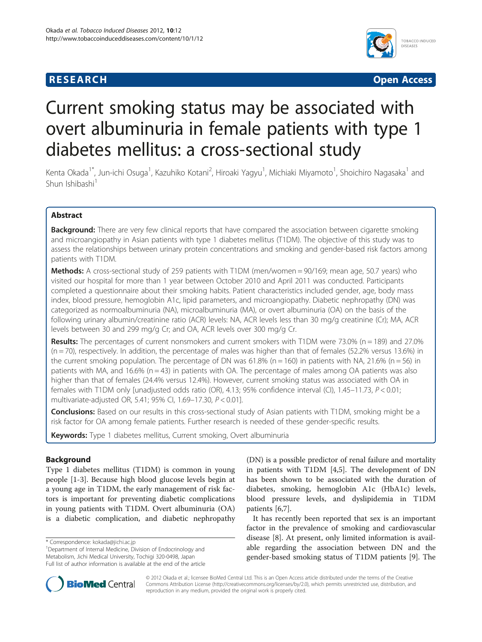# **RESEARCH CHINESEARCH CHINESEARCH CHINESE**



# Current smoking status may be associated with overt albuminuria in female patients with type 1 diabetes mellitus: a cross-sectional study

Kenta Okada<sup>1\*</sup>, Jun-ichi Osuga<sup>1</sup>, Kazuhiko Kotani<sup>2</sup>, Hiroaki Yagyu<sup>1</sup>, Michiaki Miyamoto<sup>1</sup>, Shoichiro Nagasaka<sup>1</sup> and Shun Ishibashi<sup>1</sup>

# Abstract

Background: There are very few clinical reports that have compared the association between cigarette smoking and microangiopathy in Asian patients with type 1 diabetes mellitus (T1DM). The objective of this study was to assess the relationships between urinary protein concentrations and smoking and gender-based risk factors among patients with T1DM.

Methods: A cross-sectional study of 259 patients with T1DM (men/women = 90/169; mean age, 50.7 years) who visited our hospital for more than 1 year between October 2010 and April 2011 was conducted. Participants completed a questionnaire about their smoking habits. Patient characteristics included gender, age, body mass index, blood pressure, hemoglobin A1c, lipid parameters, and microangiopathy. Diabetic nephropathy (DN) was categorized as normoalbuminuria (NA), microalbuminuria (MA), or overt albuminuria (OA) on the basis of the following urinary albumin/creatinine ratio (ACR) levels: NA, ACR levels less than 30 mg/g creatinine (Cr); MA, ACR levels between 30 and 299 mg/g Cr; and OA, ACR levels over 300 mg/g Cr.

Results: The percentages of current nonsmokers and current smokers with T1DM were 73.0% (n = 189) and 27.0%  $(n = 70)$ , respectively. In addition, the percentage of males was higher than that of females (52.2% versus 13.6%) in the current smoking population. The percentage of DN was  $61.8\%$  (n = 160) in patients with NA, 21.6% (n = 56) in patients with MA, and 16.6% ( $n = 43$ ) in patients with OA. The percentage of males among OA patients was also higher than that of females (24.4% versus 12.4%). However, current smoking status was associated with OA in females with T1DM only [unadjusted odds ratio (OR), 4.13; 95% confidence interval (CI), 1.45–11.73, P < 0.01; multivariate-adjusted OR, 5.41; 95% CI, 1.69–17.30, P < 0.01].

**Conclusions:** Based on our results in this cross-sectional study of Asian patients with T1DM, smoking might be a risk factor for OA among female patients. Further research is needed of these gender-specific results.

Keywords: Type 1 diabetes mellitus, Current smoking, Overt albuminuria

# Background

Type 1 diabetes mellitus (T1DM) is common in young people [\[1](#page-3-0)-[3\]](#page-3-0). Because high blood glucose levels begin at a young age in T1DM, the early management of risk factors is important for preventing diabetic complications in young patients with T1DM. Overt albuminuria (OA) is a diabetic complication, and diabetic nephropathy

(DN) is a possible predictor of renal failure and mortality in patients with T1DM [\[4,5](#page-3-0)]. The development of DN has been shown to be associated with the duration of diabetes, smoking, hemoglobin A1c (HbA1c) levels, blood pressure levels, and dyslipidemia in T1DM patients [\[6,7\]](#page-3-0).

It has recently been reported that sex is an important factor in the prevalence of smoking and cardiovascular disease [[8\]](#page-3-0). At present, only limited information is available regarding the association between DN and the gender-based smoking status of T1DM patients [[9\]](#page-4-0). The



© 2012 Okada et al.; licensee BioMed Central Ltd. This is an Open Access article distributed under the terms of the Creative Commons Attribution License [\(http://creativecommons.org/licenses/by/2.0\)](http://creativecommons.org/licenses/by/2.0), which permits unrestricted use, distribution, and reproduction in any medium, provided the original work is properly cited.

<sup>\*</sup> Correspondence: [kokada@jichi.ac.jp](mailto:kokada@jichi.ac.jp) <sup>1</sup>

<sup>&</sup>lt;sup>1</sup>Department of Internal Medicine, Division of Endocrinology and Metabolism, Jichi Medical University, Tochigi 320-0498, Japan Full list of author information is available at the end of the article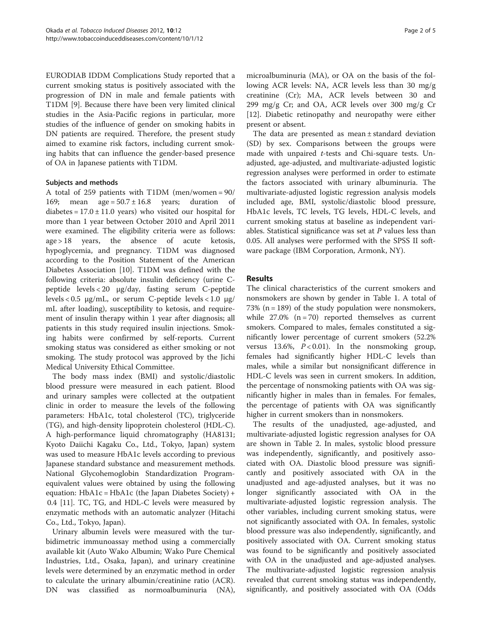EURODIAB IDDM Complications Study reported that a current smoking status is positively associated with the progression of DN in male and female patients with T1DM [[9\]](#page-4-0). Because there have been very limited clinical studies in the Asia-Pacific regions in particular, more studies of the influence of gender on smoking habits in DN patients are required. Therefore, the present study aimed to examine risk factors, including current smoking habits that can influence the gender-based presence of OA in Japanese patients with T1DM.

### Subjects and methods

A total of 259 patients with T1DM (men/women = 90/ 169; mean age =  $50.7 \pm 16.8$  years; duration of diabetes =  $17.0 \pm 11.0$  years) who visited our hospital for more than 1 year between October 2010 and April 2011 were examined. The eligibility criteria were as follows: age > 18 years, the absence of acute ketosis, hypoglycemia, and pregnancy. T1DM was diagnosed according to the Position Statement of the American Diabetes Association [[10](#page-4-0)]. T1DM was defined with the following criteria: absolute insulin deficiency (urine Cpeptide levels < 20 μg/day, fasting serum C-peptide levels < 0.5 μg/mL, or serum C-peptide levels < 1.0 μg/ mL after loading), susceptibility to ketosis, and requirement of insulin therapy within 1 year after diagnosis; all patients in this study required insulin injections. Smoking habits were confirmed by self-reports. Current smoking status was considered as either smoking or not smoking. The study protocol was approved by the Jichi Medical University Ethical Committee.

The body mass index (BMI) and systolic/diastolic blood pressure were measured in each patient. Blood and urinary samples were collected at the outpatient clinic in order to measure the levels of the following parameters: HbA1c, total cholesterol (TC), triglyceride (TG), and high-density lipoprotein cholesterol (HDL-C). A high-performance liquid chromatography (HA8131; Kyoto Daiichi Kagaku Co., Ltd., Tokyo, Japan) system was used to measure HbA1c levels according to previous Japanese standard substance and measurement methods. National Glycohemoglobin Standardization Programequivalent values were obtained by using the following equation:  $HbA1c = HbA1c$  (the Japan Diabetes Society) + 0.4 [\[11](#page-4-0)]. TC, TG, and HDL-C levels were measured by enzymatic methods with an automatic analyzer (Hitachi Co., Ltd., Tokyo, Japan).

Urinary albumin levels were measured with the turbidimetric immunoassay method using a commercially available kit (Auto Wako Albumin; Wako Pure Chemical Industries, Ltd., Osaka, Japan), and urinary creatinine levels were determined by an enzymatic method in order to calculate the urinary albumin/creatinine ratio (ACR). DN was classified as normoalbuminuria (NA),

microalbuminuria (MA), or OA on the basis of the following ACR levels: NA, ACR levels less than 30 mg/g creatinine (Cr); MA, ACR levels between 30 and 299 mg/g Cr; and OA, ACR levels over 300 mg/g Cr [[12\]](#page-4-0). Diabetic retinopathy and neuropathy were either present or absent.

The data are presented as mean ± standard deviation (SD) by sex. Comparisons between the groups were made with unpaired t-tests and Chi-square tests. Unadjusted, age-adjusted, and multivariate-adjusted logistic regression analyses were performed in order to estimate the factors associated with urinary albuminuria. The multivariate-adjusted logistic regression analysis models included age, BMI, systolic/diastolic blood pressure, HbA1c levels, TC levels, TG levels, HDL-C levels, and current smoking status at baseline as independent variables. Statistical significance was set at  $P$  values less than 0.05. All analyses were performed with the SPSS II software package (IBM Corporation, Armonk, NY).

# Results

The clinical characteristics of the current smokers and nonsmokers are shown by gender in Table [1.](#page-2-0) A total of 73% ( $n = 189$ ) of the study population were nonsmokers, while  $27.0\%$  (n = 70) reported themselves as current smokers. Compared to males, females constituted a significantly lower percentage of current smokers (52.2% versus 13.6%,  $P < 0.01$ ). In the nonsmoking group, females had significantly higher HDL-C levels than males, while a similar but nonsignificant difference in HDL-C levels was seen in current smokers. In addition, the percentage of nonsmoking patients with OA was significantly higher in males than in females. For females, the percentage of patients with OA was significantly higher in current smokers than in nonsmokers.

The results of the unadjusted, age-adjusted, and multivariate-adjusted logistic regression analyses for OA are shown in Table [2.](#page-2-0) In males, systolic blood pressure was independently, significantly, and positively associated with OA. Diastolic blood pressure was significantly and positively associated with OA in the unadjusted and age-adjusted analyses, but it was no longer significantly associated with OA in the multivariate-adjusted logistic regression analysis. The other variables, including current smoking status, were not significantly associated with OA. In females, systolic blood pressure was also independently, significantly, and positively associated with OA. Current smoking status was found to be significantly and positively associated with OA in the unadjusted and age-adjusted analyses. The multivariate-adjusted logistic regression analysis revealed that current smoking status was independently, significantly, and positively associated with OA (Odds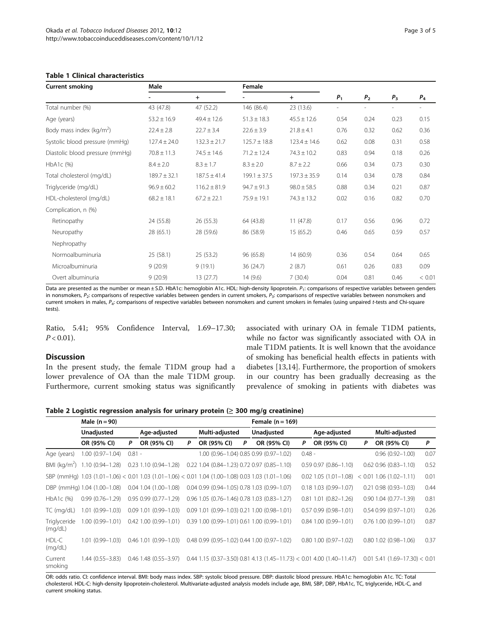Current smoking **Current Smoking** Male **Female** 

#### <span id="page-2-0"></span>Table 1 Clinical characteristics

|                  | $+$              |                  | $+$              | P <sub>1</sub> | P <sub>2</sub> | $P_3$ | $P_4$ |
|------------------|------------------|------------------|------------------|----------------|----------------|-------|-------|
| 43 (47.8)        | 47 (52.2)        | 146 (86.4)       | 23 (13.6)        |                |                |       |       |
| $53.2 \pm 16.9$  | $49.4 \pm 12.6$  | $51.3 \pm 18.3$  | $45.5 \pm 12.6$  | 0.54           | 0.24           | 0.23  | 0.15  |
| $22.4 \pm 2.8$   | $22.7 \pm 3.4$   | $22.6 \pm 3.9$   | $21.8 \pm 4.1$   | 0.76           | 0.32           | 0.62  | 0.36  |
| $127.4 \pm 24.0$ | $132.3 \pm 21.7$ | $125.7 \pm 18.8$ | $123.4 \pm 14.6$ | 0.62           | 0.08           | 0.31  | 0.58  |
| $70.8 \pm 11.3$  | $74.5 \pm 14.6$  | $71.2 \pm 12.4$  | $74.3 \pm 10.2$  | 0.83           | 0.94           | 0.18  | 0.26  |
| $8.4 \pm 2.0$    | $8.3 \pm 1.7$    | $8.3 \pm 2.0$    | $8.7 \pm 2.2$    | 0.66           | 0.34           | 0.73  | 0.3C  |
| $189.7 \pm 32.1$ | $187.5 \pm 41.4$ | $199.1 \pm 37.5$ | $197.3 \pm 35.9$ | 0.14           | 0.34           | 0.78  | 0.84  |
| $96.9 \pm 60.2$  | $116.2 \pm 81.9$ | $94.7 \pm 91.3$  | $98.0 \pm 58.5$  | 0.88           | 0.34           | 0.21  | 0.87  |
| $68.2 \pm 18.1$  | $67.2 \pm 22.1$  | $75.9 \pm 19.1$  | $74.3 \pm 13.2$  | 0.02           | 0.16           | 0.82  | 0.70  |
|                  |                  |                  |                  |                |                |       |       |
| 24 (55.8)        | 26(55.3)         | 64 (43.8)        | 11(47.8)         | 0.17           | 0.56           | 0.96  | 0.72  |
| 28 (65.1)        | 28 (59.6)        | 86 (58.9)        | 15(65.2)         | 0.46           | 0.65           | 0.59  | 0.57  |
|                  |                  |                  |                  |                |                |       |       |
|                  |                  |                  |                  |                |                |       |       |

Data are presented as the number or mean ± S.D. HbA1c: hemoglobin A1c. HDL: high-density lipoprotein.  $P_1$ : comparisons of respective variables between genders in nonsmokers,  $P_2$ : comparisons of respective variables between genders in current smokers,  $P_3$ : comparisons of respective variables between nonsmokers and current smokers in males, P4: comparisons of respective variables between nonsmokers and current smokers in females (using unpaired t-tests and Chi-square tests).

Normoalbuminuria 25 (58.1) 25 (53.2) 96 (65.8) 14 (60.9) 0.36 0.54 0.64 0.65 Microalbuminuria 9 (20.9) 9 (19.1) 36 (24.7) 2 (8.7) 0.61 0.26 0.83 0.09 Overt albuminuria 9 (20.9) 13 (27.7) 14 (9.6) 7 (30.4) 0.04 0.81 0.46 < 0.01

Ratio, 5.41; 95% Confidence Interval, 1.69–17.30;  $P < 0.01$ ).

#### **Discussion**

In the present study, the female T1DM group had a lower prevalence of OA than the male T1DM group. Furthermore, current smoking status was significantly associated with urinary OA in female T1DM patients, while no factor was significantly associated with OA in male T1DM patients. It is well known that the avoidance of smoking has beneficial health effects in patients with diabetes [[13,14\]](#page-4-0). Furthermore, the proportion of smokers in our country has been gradually decreasing as the prevalence of smoking in patients with diabetes was

| Table 2 Logistic regression analysis for urinary protein ( $\geq$ 300 mg/g creatinine) |  |  |  |
|----------------------------------------------------------------------------------------|--|--|--|
|----------------------------------------------------------------------------------------|--|--|--|

Male  $(n = 90)$  Female  $(n = 169)$ 

|                         | Unadjusted                                                                                        |          | Age-adjusted                  |   | Multi-adjusted |   | Unadjusted                                            |          | Age-adjusted                                                            |   | Multi-adjusted                  |      |  |
|-------------------------|---------------------------------------------------------------------------------------------------|----------|-------------------------------|---|----------------|---|-------------------------------------------------------|----------|-------------------------------------------------------------------------|---|---------------------------------|------|--|
|                         | OR (95% CI)                                                                                       | P        | OR (95% CI)                   | P | OR (95% CI)    | P | OR (95% CI)                                           | P        | OR (95% CI)                                                             | Ρ | OR (95% CI)                     | P    |  |
| Age (years)             | $1.00(0.97 - 1.04)$                                                                               | $0.81 -$ |                               |   |                |   | 1.00 (0.96-1.04) 0.85 0.99 (0.97-1.02)                | $0.48 -$ |                                                                         |   | $0.96(0.92 - 1.00)$             | 0.07 |  |
| BMI ( $\text{kg/m}^2$ ) | 1.10 (0.94-1.28)                                                                                  |          | $0.23$ 1.10 $(0.94 - 1.28)$   |   |                |   | 0.22 1.04 (0.84-1.23) 0.72 0.97 (0.85-1.10)           |          | $0.59$ $0.97$ $(0.86 - 1.10)$                                           |   | $0.62$ $0.96$ $(0.83 - 1.10)$   | 0.52 |  |
|                         | SBP (mmHg) 1.03 (1.01-1.06) < 0.01 1.03 (1.01-1.06) < 0.01 1.04 (1.00-1.08) 0.03 1.03 (1.01-1.06) |          |                               |   |                |   |                                                       |          | $0.02$ 1.05 (1.01-1.08)                                                 |   | $< 0.01$ 1.06 (1.02-1.11)       | 0.01 |  |
|                         | DBP (mmHg) 1.04 (1.00-1.08)                                                                       |          | $0.04$ 1.04 $(1.00 - 1.08)$   |   |                |   | 0.04 0.99 (0.94-1.05) 0.78 1.03 (0.99-1.07)           |          | $0.18$ 1.03 $(0.99 - 1.07)$                                             |   | $0.21$ $0.98$ $(0.93 - 1.03)$   | 0.44 |  |
| $HbA1c$ (%)             | $0.99(0.76 - 1.29)$                                                                               |          | $0.95$ $0.99$ $(0.77 - 1.29)$ |   |                |   | 0.96 1.05 (0.76-1.46) 0.78 1.03 (0.83-1.27)           |          | $0.81$ 1.01 $(0.82 - 1.26)$                                             |   | $0.90$ 1.04 $(0.77 - 1.39)$     | 0.81 |  |
| TC (mg/dL)              | 1.01 (0.99–1.03)                                                                                  |          | $0.09$ 1.01 $(0.99 - 1.03)$   |   |                |   | $0.09$ 1.01 $(0.99 - 1.03)$ 0.21 1.00 $(0.98 - 1.01)$ |          | $0.57$ 0.99 (0.98-1.01)                                                 |   | $0.54$ $0.99$ $(0.97 - 1.01)$   | 0.26 |  |
| Triglyceride<br>(mq/dL) | $1.00(0.99 - 1.01)$                                                                               |          | $0.42$ 1.00 $(0.99 - 1.01)$   |   |                |   | 0.39 1.00 (0.99-1.01) 0.61 1.00 (0.99-1.01)           |          | $0.84$ 1.00 $(0.99 - 1.01)$                                             |   | $0.76$ 1.00 $(0.99 - 1.01)$     | 0.87 |  |
| HDL-C<br>(mq/dL)        | $1.01(0.99 - 1.03)$                                                                               |          | $0.46$ 1.01 $(0.99 - 1.03)$   |   |                |   | 0.48 0.99 (0.95-1.02) 0.44 1.00 (0.97-1.02)           |          | $0.80$ 1.00 $(0.97 - 1.02)$                                             |   | $0.80$ 1.02 $(0.98 - 1.06)$     | 0.37 |  |
| Current<br>smoking      | 1.44 (0.55–3.83)                                                                                  |          | $0.46$ 1.48 $(0.55 - 3.97)$   |   |                |   |                                                       |          | $0.44$ 1.15 (0.37-3.50) 0.81 4.13 (1.45-11.73) < 0.01 4.00 (1.40-11.47) |   | $0.01$ 5.41 (1.69-17.30) < 0.01 |      |  |

OR: odds ratio. CI: confidence interval. BMI: body mass index. SBP: systolic blood pressure. DBP: diastolic blood pressure. HbA1c: hemoglobin A1c. TC: Total cholesterol. HDL-C: high-density lipoprotein-cholesterol. Multivariate-adjusted analysis models include age, BMI, SBP, DBP, HbA1c, TC, triglyceride, HDL-C, and current smoking status.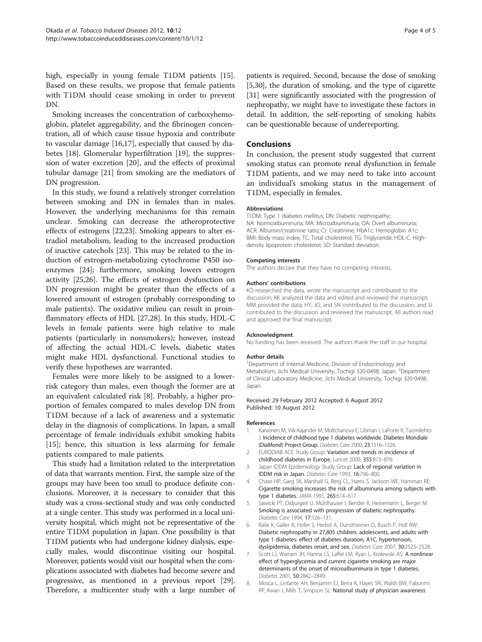<span id="page-3-0"></span>high, especially in young female T1DM patients [\[15](#page-4-0)]. Based on these results, we propose that female patients with T1DM should cease smoking in order to prevent DN.

Smoking increases the concentration of carboxyhemoglobin, platelet aggregability, and the fibrinogen concentration, all of which cause tissue hypoxia and contribute to vascular damage [\[16,17](#page-4-0)], especially that caused by diabetes [[18](#page-4-0)]. Glomerular hyperfiltration [[19\]](#page-4-0), the suppression of water excretion [\[20](#page-4-0)], and the effects of proximal tubular damage [[21\]](#page-4-0) from smoking are the mediators of DN progression.

In this study, we found a relatively stronger correlation between smoking and DN in females than in males. However, the underlying mechanisms for this remain unclear. Smoking can decrease the atheroprotective effects of estrogens [\[22,23\]](#page-4-0). Smoking appears to alter estradiol metabolism, leading to the increased production of inactive catechols [[23\]](#page-4-0). This may be related to the induction of estrogen-metabolizing cytochrome P450 isoenzymes [\[24](#page-4-0)]; furthermore, smoking lowers estrogen activity [\[25,26](#page-4-0)]. The effects of estrogen dysfunction on DN progression might be greater than the effects of a lowered amount of estrogen (probably corresponding to male patients). The oxidative milieu can result in proinflammatory effects of HDL [\[27,28\]](#page-4-0). In this study, HDL-C levels in female patients were high relative to male patients (particularly in nonsmokers); however, instead of affecting the actual HDL-C levels, diabetic states might make HDL dysfunctional. Functional studies to verify these hypotheses are warranted.

Females were more likely to be assigned to a lowerrisk category than males, even though the former are at an equivalent calculated risk [8]. Probably, a higher proportion of females compared to males develop DN from T1DM because of a lack of awareness and a systematic delay in the diagnosis of complications. In Japan, a small percentage of female individuals exhibit smoking habits [[15\]](#page-4-0); hence, this situation is less alarming for female patients compared to male patients.

This study had a limitation related to the interpretation of data that warrants mention. First, the sample size of the groups may have been too small to produce definite conclusions. Moreover, it is necessary to consider that this study was a cross-sectional study and was only conducted at a single center. This study was performed in a local university hospital, which might not be representative of the entire T1DM population in Japan. One possibility is that T1DM patients who had undergone kidney dialysis, especially males, would discontinue visiting our hospital. Moreover, patients would visit our hospital when the complications associated with diabetes had become severe and progressive, as mentioned in a previous report [[29](#page-4-0)]. Therefore, a multicenter study with a large number of patients is required. Second, because the dose of smoking [5,[30](#page-4-0)], the duration of smoking, and the type of cigarette [[31](#page-4-0)] were significantly associated with the progression of nephropathy, we might have to investigate these factors in detail. In addition, the self-reporting of smoking habits can be questionable because of underreporting.

#### Conclusions

In conclusion, the present study suggested that current smoking status can promote renal dysfunction in female T1DM patients, and we may need to take into account an individual's smoking status in the management of T1DM, especially in females.

#### Abbreviations

T1DM: Type 1 diabetes mellitus; DN: Diabetic nephropathy; NA: Normoalbuminuria; MA: Microalbuminuria; OA: Overt albuminuria; ACR: Albumin/creatinine ratio; Cr: Creatinine; HbA1c: Hemoglobin A1c; BMI: Body mass index; TC: Total cholesterol; TG: Triglyceride; HDL-C: Highdensity lipoprotein cholesterol; SD: Standard deviation.

#### Competing interests

The authors declare that they have no competing interests.

#### Authors' contributions

KO researched the data, wrote the manuscript and contributed to the discussion; KK analyzed the data and edited and reviewed the manuscript; MM provided the data; HY, JO, and SN contributed to the discussion; and SI contributed to the discussion and reviewed the manuscript. All authors read and approved the final manuscript.

#### Acknowledgment

No funding has been received. The authors thank the staff in our hospital.

#### Author details

<sup>1</sup>Department of Internal Medicine, Division of Endocrinology and Metabolism, Jichi Medical University, Tochigi 320-0498, Japan. <sup>2</sup>Department of Clinical Laboratory Medicine, Jichi Medical University, Tochigi 320-0498, Japan.

Received: 29 February 2012 Accepted: 6 August 2012 Published: 10 August 2012

#### References

- 1. Karvonen M, Viik-Kajander M, Moltchanova E, Libman I, LaPorte R, Tuomilehto J: Incidence of childhood type 1 diabetes worldwide. Diabetes Mondiale (DiaMond) Project Group. Diabetes Care 2000, 23:1516–1526.
- 2. EURODIAB ACE Study Group: Variation and trends in incidence of childhood diabetes in Europe. Lancet 2000, 355:873–876.
- 3. Japan IDDM Epidemiology Study Group: Lack of regional variation in IDDM risk in Japan. Diabetes Care 1993, 16:796–800.
- 4. Chase HP, Garg SK, Marshall G, Berg CL, Harris S, Jackson WE, Hamman RE: Cigarette smoking increases the risk of albuminuria among subjects with type 1 diabetes. JAMA 1991, 265:614–617.
- 5. Sawicki PT, Didjurgeit U, Mühlhauser I, Bender R, Heinemann L, Berger M: Smoking is associated with progression of diabetic nephropathy. Diabetes Care 1994, 17:126–131.
- 6. Raile K, Galler A, Hofer S, Herbst A, Dunstheimer D, Busch P, Holl RW: Diabetic nephropathy in 27,805 children, adolescents, and adults with type 1 diabetes: effect of diabetes duration, A1C, hypertension, dyslipidemia, diabetes onset, and sex. Diabetes Care 2007, 30:2523–2528.
- 7. Scott LJ, Warram JH, Hanna LS, Laffel LM, Ryan L, Krolewski AS: A nonlinear effect of hyperglycemia and current cigarette smoking are major determinants of the onset of microalbuminuria in type 1 diabetes. Diabetes 2001, 50:2842–2849.
- 8. Mosca L, Linfante AH, Benjamin EJ, Berra K, Hayes SN, Walsh BW, Fabunmi RP, Kwan J, Mills T, Simpson SL: National study of physician awareness